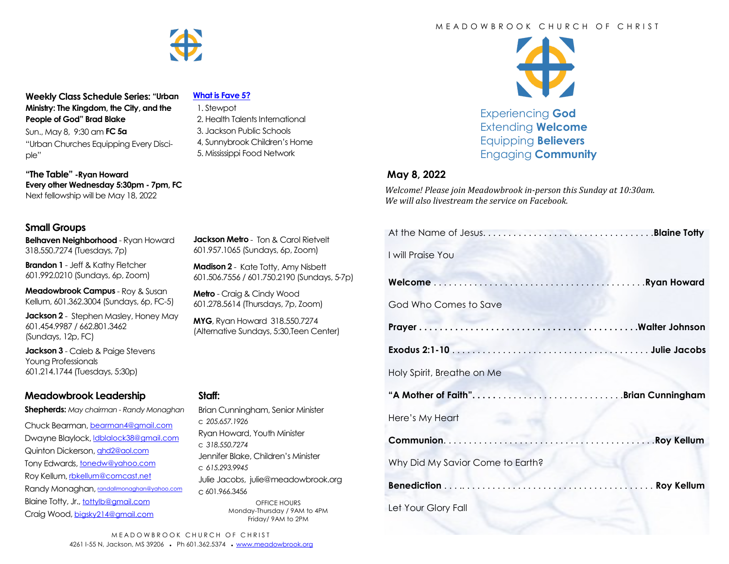**Weekly Class Schedule Series: "Urban Ministry: The Kingdom, the City, and the People of God" Brad Blake**

Sun., May 8, 9:30 am **FC 5a** "Urban Churches Equipping Every Disciple"

**"The Table" -Ryan Howard Every other Wednesday 5:30pm - 7pm, FC** Next fellowship will be May 18, 2022

## **Small Groups**

**Belhaven Neighborhood** - Ryan Howard 318.550.7274 (Tuesdays, 7p)

**Brandon 1** - Jeff & Kathy Fletcher 601.992.0210 (Sundays, 6p, Zoom)

**Meadowbrook Campus** - Roy & Susan Kellum, 601.362.3004 (Sundays, 6p, FC-5)

**Jackson 2** - Stephen Masley, Honey May 601.454.9987 / 662.801.3462 (Sundays, 12p, FC)

**Jackson 3** - Caleb & Paige Stevens Young Professionals 601.214.1744 (Tuesdays, 5:30p)

## **Meadowbrook Leadership**

**Shepherds:** *May chairman - Randy Monaghan*

Chuck Bearman, [bearman4@gmail.com](mailto:bearman4@gmail.com) Dwayne Blaylock, *dblalock38@gmail.com* Quinton Dickerson, [qhd2@aol.com](mailto:qhd2@aol.com) Tony Edwards, [tonedw@yahoo.com](mailto:tonedw@yahoo.com) Roy Kellum, [rbkellum@comcast.net](mailto:rbkellum@comcast.net) Randy Monaghan, [randallmonaghan@yahoo.com](mailto:randallmonaghan@yahoo.com) Blaine Totty, Jr., [tottylb@gmail.com](mailto:tottylb@gmail.com) Craig Wood, [bigsky214@gmail.com](mailto:bigsky214@gmail.com)

#### **[What is Fave 5?](https://meadowbrook.ccbchurch.com/group_detail.php?group_id=131)**

- 1. Stewpot 2. Health Talents International 3. Jackson Public Schools 4, Sunnybrook Children's Home
- 5. Mississippi Food Network

**Jackson Metro** - Ton & Carol Rietvelt 601.957.1065 (Sundays, 6p, Zoom) **Madison 2** - Kate Totty, Amy Nisbett 601.506.7556 / 601.750.2190 (Sundays, 5-7p)

Brian Cunningham, Senior Minister

Jennifer Blake, Children's Minister

Julie Jacobs, julie@meadowbrook.org

OFFICE HOURS Monday-Thursday / 9AM to 4PM Friday/ 9AM to 2PM

Ryan Howard, Youth Minister

**Metro** - Craig & Cindy Wood 601.278.5614 (Thursdays, 7p, Zoom) **MYG**, Ryan Howard 318.550.7274 (Alternative Sundays, 5:30,Teen Center)

#### M F A D O W B R O O K C H U R C H O F C H R I S T



Experiencing **God** Extending **Welcome** Equipping **Believers** Engaging **Community**

#### **May 8, 2022**

*Welcome! Please join Meadowbrook in-person this Sunday at 10:30am. We will also livestream the service on Facebook.*

| I will Praise You                |  |
|----------------------------------|--|
|                                  |  |
| God Who Comes to Save            |  |
|                                  |  |
|                                  |  |
| Holy Spirit, Breathe on Me       |  |
|                                  |  |
| Here's My Heart                  |  |
|                                  |  |
| Why Did My Savior Come to Earth? |  |
|                                  |  |
| Let Your Glory Fall              |  |
|                                  |  |

**Staff:** 

c *205.657.1926*

c *318.550.7274*

c *615.293.9945*

c 601.966.3456